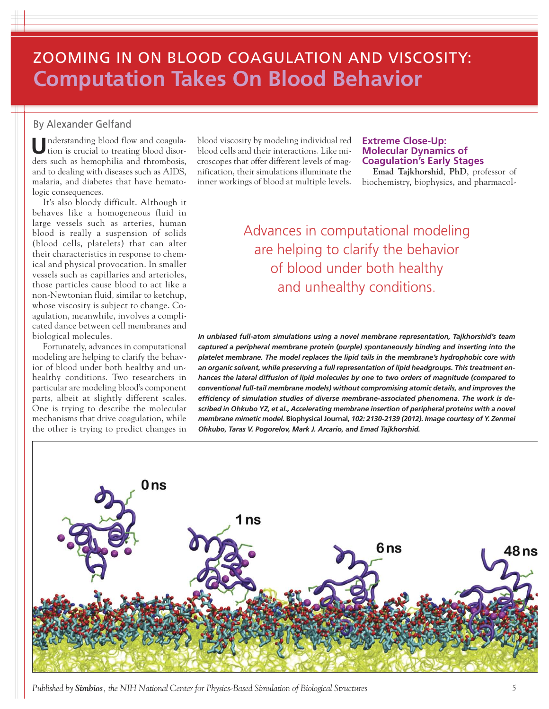# ZOOMING IN ON BLOOD COAGULATION AND VISCOSITY: **Computation Takes On Blood Behavior**

### **By Alexander Gelfand**

**U**nderstanding blood flow and coagulation is crucial to treating blood disorders such as hemophilia and thrombosis, and to dealing with diseases such as AIDS, malaria, and diabetes that have hematologic consequences.

It's also bloody difficult. Although it behaves like a homogeneous fluid in large vessels such as arteries, human blood is really a suspension of solids (blood cells, platelets) that can alter their characteristics in response to chemical and physical provocation. In smaller vessels such as capillaries and arterioles, those particles cause blood to act like a non-Newtonian fluid, similar to ketchup, whose viscosity is subject to change. Coagulation, meanwhile, involves a complicated dance between cell membranes and biological molecules.

Fortunately, advances in computational modeling are helping to clarify the behavior of blood under both healthy and unhealthy conditions. Two researchers in particular are modeling blood's component parts, albeit at slightly different scales. One is trying to describe the molecular mechanisms that drive coagulation, while the other is trying to predict changes in

blood viscosity by modeling individual red blood cells and their interactions. Like microscopes that offer different levels of magnification, their simulations illuminate the inner workings of blood at multiple levels.

#### **Extreme Close-Up: Molecular Dynamics of Coagulation's Early Stages**

**Emad Tajkhorshid**, **PhD**, professor of biochemistry, biophysics, and pharmacol-

Advances in computational modeling are helping to clarify the behavior of blood under both healthy and unhealthy conditions.

*In unbiased full-atom simulations using a novel membrane representation, Tajkhorshid's team captured a peripheral membrane protein (purple) spontaneously binding and inserting into the platelet membrane. The model replaces the lipid tails in the membrane's hydrophobic core with an organic solvent, while preserving a full representation of lipid headgroups. This treatment enhances the lateral diffusion of lipid molecules by one to two orders of magnitude (compared to conventional full-tail membrane models) without compromising atomic details, and improves the efficiency of simulation studies of diverse membrane-associated phenomena. The work is described in Ohkubo YZ, et al., Accelerating membrane insertion of peripheral proteins with a novel membrane mimetic model.* **Biophysical Journal***, 102: 2130-2139 (2012). Image courtesy of Y. Zenmei Ohkubo, Taras V. Pogorelov, Mark J. Arcario, and Emad Tajkhorshid.*



*Published by Simbios, the NIH National Center for Physics-Based Simulation of Biological Structures* 5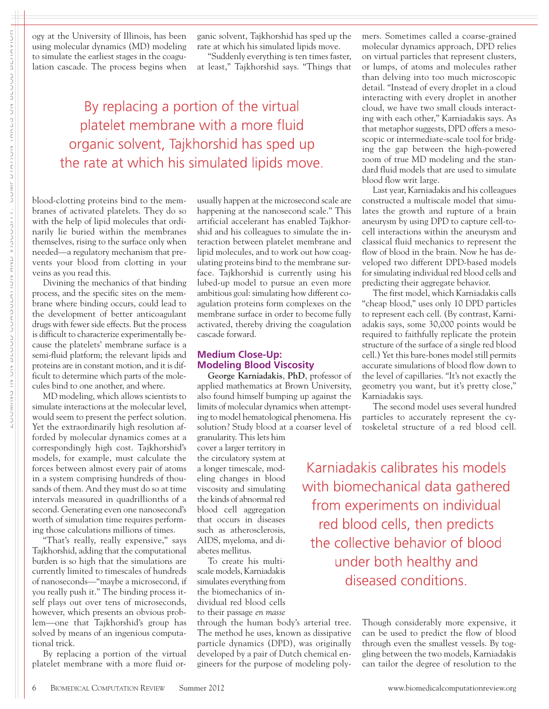|| | העושמום שטטבע אט טבות ZOOMING IN ON BLOOD COAGULATION AND VISCOSITY: COMPUTATION TAKES ON BLOOD BEHAVIORאלכובל וכולות האנגר לא האנגר להתקופת המונה את המונה המונה המונה לא המונה המונה המונה המונה המונה המונה המונה ה<br>המונה המונה המונה המונה המונה המונה המונה המונה המונה המונה המונה המונה המונה המונה המונה המונה המונה המונה המ

ogy at the University of Illinois, has been using molecular dynamics (MD) modeling to simulate the earliest stages in the coagulation cascade. The process begins when

ganic solvent, Tajkhorshid has sped up the rate at which his simulated lipids move.

"Suddenly everything is ten times faster, at least," Tajkhorshid says. "Things that

## By replacing a portion of the virtual platelet membrane with a more fluid organic solvent, Tajkhorshid has sped up the rate at which his simulated lipids move.

blood-clotting proteins bind to the membranes of activated platelets. They do so with the help of lipid molecules that ordinarily lie buried within the membranes themselves, rising to the surface only when needed—a regulatory mechanism that prevents your blood from clotting in your veins as you read this.

Divining the mechanics of that binding process, and the specific sites on the membrane where binding occurs, could lead to the development of better anticoagulant drugs with fewer side effects. But the process is difficult to characterize experimentally because the platelets' membrane surface is a semi-fluid platform; the relevant lipids and proteins are in constant motion, and it is difficult to determine which parts of the molecules bind to one another, and where.

MD modeling, which allows scientists to simulate interactions at the molecular level, would seem to present the perfect solution. Yet the extraordinarily high resolution afforded by molecular dynamics comes at a correspondingly high cost. Tajkhorshid's models, for example, must calculate the forces between almost every pair of atoms in a system comprising hundreds of thousands of them. And they must do so at time intervals measured in quadrillionths of a second. Generating even one nanosecond's worth of simulation time requires performing those calculations millions of times.

"That's really, really expensive," says Tajkhorshid, adding that the computational burden is so high that the simulations are currently limited to timescales of hundreds of nanoseconds—"maybe a microsecond, if you really push it." The binding process itself plays out over tens of microseconds, however, which presents an obvious problem—one that Tajkhorshid's group has solved by means of an ingenious computational trick.

By replacing a portion of the virtual platelet membrane with a more fluid orusually happen at the microsecond scale are happening at the nanosecond scale." This artificial accelerant has enabled Tajkhorshid and his colleagues to simulate the interaction between platelet membrane and lipid molecules, and to work out how coagulating proteins bind to the membrane surface. Tajkhorshid is currently using his lubed-up model to pursue an even more ambitious goal: simulating how different coagulation proteins form complexes on the membrane surface in order to become fully activated, thereby driving the coagulation cascade forward.

#### **Medium Close-Up: Modeling Blood Viscosity**

**George Karniadakis**, **PhD**, professor of applied mathematics at Brown University, also found himself bumping up against the limits of molecular dynamics when attempting to model hematological phenomena. His solution? Study blood at a coarser level of

granularity. This lets him cover a larger territory in the circulatory system at a longer timescale, modeling changes in blood viscosity and simulating the kinds of abnormal red blood cell aggregation that occurs in diseases such as atherosclerosis, AIDS, myeloma, and diabetes mellitus.

To create his multiscale models, Karniadakis simulates everything from the biomechanics of individual red blood cells to their passage *en masse*

through the human body's arterial tree. The method he uses, known as dissipative particle dynamics (DPD), was originally developed by a pair of Dutch chemical engineers for the purpose of modeling polymers. Sometimes called a coarse-grained molecular dynamics approach, DPD relies on virtual particles that represent clusters, or lumps, of atoms and molecules rather than delving into too much microscopic detail. "Instead of every droplet in a cloud interacting with every droplet in another cloud, we have two small clouds interacting with each other," Karniadakis says. As that metaphor suggests, DPD offers a mesoscopic or intermediate-scale tool for bridging the gap between the high-powered zoom of true MD modeling and the standard fluid models that are used to simulate blood flow writ large.

Last year, Karniadakis and his colleagues constructed a multiscale model that simulates the growth and rupture of a brain aneurysm by using DPD to capture cell-tocell interactions within the aneurysm and classical fluid mechanics to represent the flow of blood in the brain. Now he has developed two different DPD-based models for simulating individual red blood cells and predicting their aggregate behavior.

The first model, which Karniadakis calls "cheap blood," uses only 10 DPD particles to represent each cell. (By contrast, Karniadakis says, some 30,000 points would be required to faithfully replicate the protein structure of the surface of a single red blood cell.) Yet this bare-bones model still permits accurate simulations of blood flow down to the level of capillaries. "It's not exactly the geometry you want, but it's pretty close," Karniadakis says.

The second model uses several hundred particles to accurately represent the cytoskeletal structure of a red blood cell.

Karniadakis calibrates his models with biomechanical data gathered from experiments on individual red blood cells, then predicts the collective behavior of blood under both healthy and diseased conditions.

> Though considerably more expensive, it can be used to predict the flow of blood through even the smallest vessels. By toggling between the two models, Karniadakis can tailor the degree of resolution to the